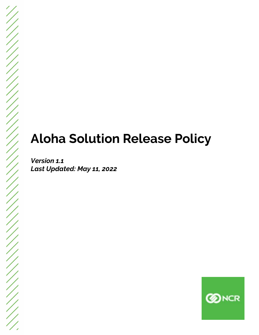## **Aloha Solution Release Policy**

*Version 1.1 Last Updated: May 11, 2022*

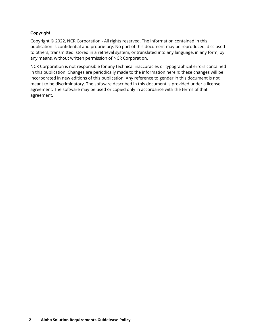## **Copyright**

Copyright © 2022, NCR Corporation - All rights reserved. The information contained in this publication is confidential and proprietary. No part of this document may be reproduced, disclosed to others, transmitted, stored in a retrieval system, or translated into any language, in any form, by any means, without written permission of NCR Corporation.

NCR Corporation is not responsible for any technical inaccuracies or typographical errors contained in this publication. Changes are periodically made to the information herein; these changes will be incorporated in new editions of this publication. Any reference to gender in this document is not meant to be discriminatory. The software described in this document is provided under a license agreement. The software may be used or copied only in accordance with the terms of that agreement.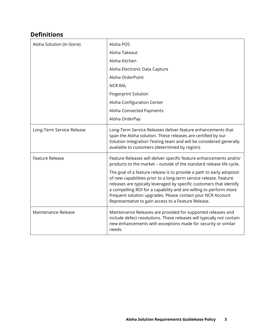## **Definitions**

| Aloha Solution (In-Store) | Aloha POS                                                                                                                                                                                                                                                                                                                                                                                                    |
|---------------------------|--------------------------------------------------------------------------------------------------------------------------------------------------------------------------------------------------------------------------------------------------------------------------------------------------------------------------------------------------------------------------------------------------------------|
|                           | Aloha Takeout                                                                                                                                                                                                                                                                                                                                                                                                |
|                           | Aloha Kitchen                                                                                                                                                                                                                                                                                                                                                                                                |
|                           | Aloha Electronic Data Capture                                                                                                                                                                                                                                                                                                                                                                                |
|                           | Aloha OrderPoint                                                                                                                                                                                                                                                                                                                                                                                             |
|                           | <b>NCR RAL</b>                                                                                                                                                                                                                                                                                                                                                                                               |
|                           | <b>Fingerprint Solution</b>                                                                                                                                                                                                                                                                                                                                                                                  |
|                           | Aloha Configuration Center                                                                                                                                                                                                                                                                                                                                                                                   |
|                           | Aloha Connected Payments                                                                                                                                                                                                                                                                                                                                                                                     |
|                           | Aloha OrderPay                                                                                                                                                                                                                                                                                                                                                                                               |
| Long-Term Service Release | Long-Term Service Releases deliver feature enhancements that<br>span the Aloha solution. These releases are certified by our<br>Solution Integration Testing team and will be considered generally<br>available to customers (determined by region).                                                                                                                                                         |
| <b>Feature Release</b>    | Feature Releases will deliver specific feature enhancements and/or<br>products to the market - outside of the standard release life cycle.                                                                                                                                                                                                                                                                   |
|                           | The goal of a feature release is to provide a path to early adoption<br>of new capabilities prior to a long-term service release. Feature<br>releases are typically leveraged by specific customers that identify<br>a compelling ROI for a capability and are willing to perform more<br>frequent solution upgrades. Please contact your NCR Account<br>Representative to gain access to a Feature Release. |
| Maintenance Release       | Maintenance Releases are provided for supported releases and<br>include defect resolutions. These releases will typically not contain<br>new enhancements with exceptions made for security or similar<br>needs.                                                                                                                                                                                             |